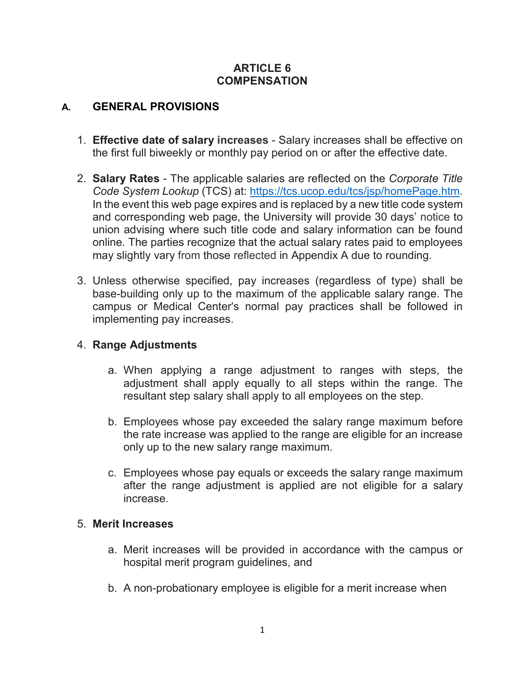#### **ARTICLE 6 COMPENSATION**

## **A. GENERAL PROVISIONS**

- 1. **Effective date of salary increases**  Salary increases shall be effective on the first full biweekly or monthly pay period on or after the effective date.
- 2. **Salary Rates**  The applicable salaries are reflected on the *Corporate Title Code System Lookup* (TCS) at: [https://tcs.ucop.edu/tcs/jsp/homePage.htm.](https://tcs.ucop.edu/tcs/jsp/homePage.htm) In the event this web page expires and is replaced by a new title code system and corresponding web page, the University will provide 30 days' notice to union advising where such title code and salary information can be found online. The parties recognize that the actual salary rates paid to employees may slightly vary from those reflected in Appendix A due to rounding.
- 3. Unless otherwise specified, pay increases (regardless of type) shall be base-building only up to the maximum of the applicable salary range. The campus or Medical Center's normal pay practices shall be followed in implementing pay increases.

### 4. **Range Adjustments**

- a. When applying a range adjustment to ranges with steps, the adjustment shall apply equally to all steps within the range. The resultant step salary shall apply to all employees on the step.
- b. Employees whose pay exceeded the salary range maximum before the rate increase was applied to the range are eligible for an increase only up to the new salary range maximum.
- c. Employees whose pay equals or exceeds the salary range maximum after the range adjustment is applied are not eligible for a salary increase.

#### 5. **Merit Increases**

- a. Merit increases will be provided in accordance with the campus or hospital merit program guidelines, and
- b. A non-probationary employee is eligible for a merit increase when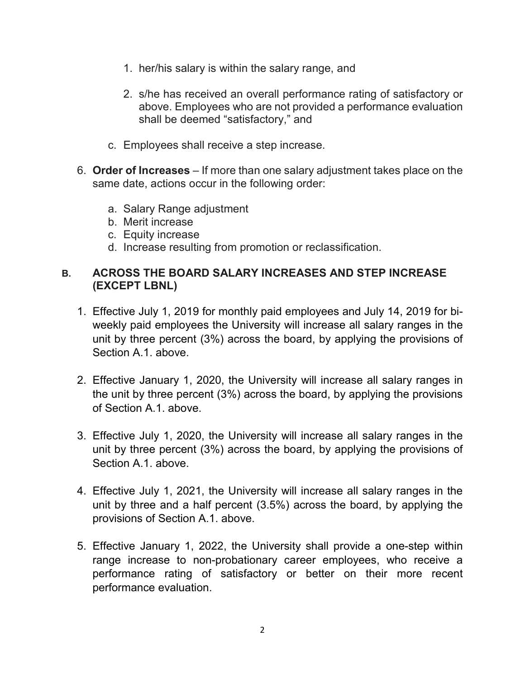- 1. her/his salary is within the salary range, and
- 2. s/he has received an overall performance rating of satisfactory or above. Employees who are not provided a performance evaluation shall be deemed "satisfactory," and
- c. Employees shall receive a step increase.
- 6. **Order of Increases** If more than one salary adjustment takes place on the same date, actions occur in the following order:
	- a. Salary Range adjustment
	- b. Merit increase
	- c. Equity increase
	- d. Increase resulting from promotion or reclassification.

### **B. ACROSS THE BOARD SALARY INCREASES AND STEP INCREASE (EXCEPT LBNL)**

- 1. Effective July 1, 2019 for monthly paid employees and July 14, 2019 for biweekly paid employees the University will increase all salary ranges in the unit by three percent (3%) across the board, by applying the provisions of Section A.1. above.
- 2. Effective January 1, 2020, the University will increase all salary ranges in the unit by three percent (3%) across the board, by applying the provisions of Section A.1. above.
- 3. Effective July 1, 2020, the University will increase all salary ranges in the unit by three percent (3%) across the board, by applying the provisions of Section A.1. above.
- 4. Effective July 1, 2021, the University will increase all salary ranges in the unit by three and a half percent (3.5%) across the board, by applying the provisions of Section A.1. above.
- 5. Effective January 1, 2022, the University shall provide a one-step within range increase to non-probationary career employees, who receive a performance rating of satisfactory or better on their more recent performance evaluation.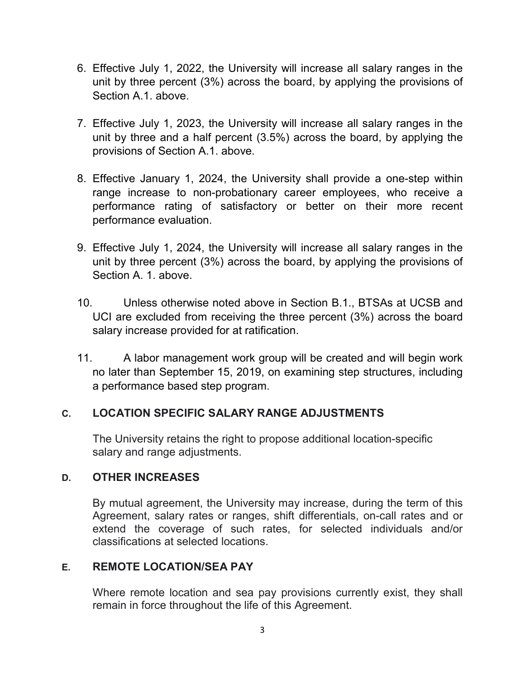- 6. Effective July 1, 2022, the University will increase all salary ranges in the unit by three percent (3%) across the board, by applying the provisions of Section A.1. above.
- 7. Effective July 1, 2023, the University will increase all salary ranges in the unit by three and a half percent (3.5%) across the board, by applying the provisions of Section A.1. above.
- 8. Effective January 1, 2024, the University shall provide a one-step within range increase to non-probationary career employees, who receive a performance rating of satisfactory or better on their more recent performance evaluation.
- 9. Effective July 1, 2024, the University will increase all salary ranges in the unit by three percent (3%) across the board, by applying the provisions of Section A. 1. above.
- 10. Unless otherwise noted above in Section B.1., BTSAs at UCSB and UCI are excluded from receiving the three percent (3%) across the board salary increase provided for at ratification.
- 11. A labor management work group will be created and will begin work no later than September 15, 2019, on examining step structures, including a performance based step program.

## **C. LOCATION SPECIFIC SALARY RANGE ADJUSTMENTS**

The University retains the right to propose additional location-specific salary and range adjustments.

### **D. OTHER INCREASES**

By mutual agreement, the University may increase, during the term of this Agreement, salary rates or ranges, shift differentials, on-call rates and or extend the coverage of such rates, for selected individuals and/or classifications at selected locations.

### **E. REMOTE LOCATION/SEA PAY**

Where remote location and sea pay provisions currently exist, they shall remain in force throughout the life of this Agreement.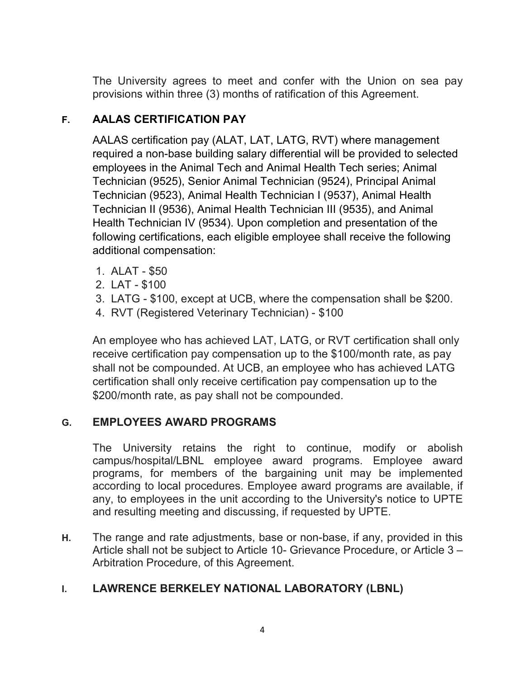The University agrees to meet and confer with the Union on sea pay provisions within three (3) months of ratification of this Agreement.

# **F. AALAS CERTIFICATION PAY**

AALAS certification pay (ALAT, LAT, LATG, RVT) where management required a non-base building salary differential will be provided to selected employees in the Animal Tech and Animal Health Tech series; Animal Technician (9525), Senior Animal Technician (9524), Principal Animal Technician (9523), Animal Health Technician I (9537), Animal Health Technician II (9536), Animal Health Technician III (9535), and Animal Health Technician IV (9534). Upon completion and presentation of the following certifications, each eligible employee shall receive the following additional compensation:

- 1. ALAT \$50
- 2. LAT \$100
- 3. LATG \$100, except at UCB, where the compensation shall be \$200.
- 4. RVT (Registered Veterinary Technician) \$100

An employee who has achieved LAT, LATG, or RVT certification shall only receive certification pay compensation up to the \$100/month rate, as pay shall not be compounded. At UCB, an employee who has achieved LATG certification shall only receive certification pay compensation up to the \$200/month rate, as pay shall not be compounded.

## **G. EMPLOYEES AWARD PROGRAMS**

The University retains the right to continue, modify or abolish campus/hospital/LBNL employee award programs. Employee award programs, for members of the bargaining unit may be implemented according to local procedures. Employee award programs are available, if any, to employees in the unit according to the University's notice to UPTE and resulting meeting and discussing, if requested by UPTE.

**H.** The range and rate adjustments, base or non-base, if any, provided in this Article shall not be subject to Article 10- Grievance Procedure, or Article 3 – Arbitration Procedure, of this Agreement.

## **I. LAWRENCE BERKELEY NATIONAL LABORATORY (LBNL)**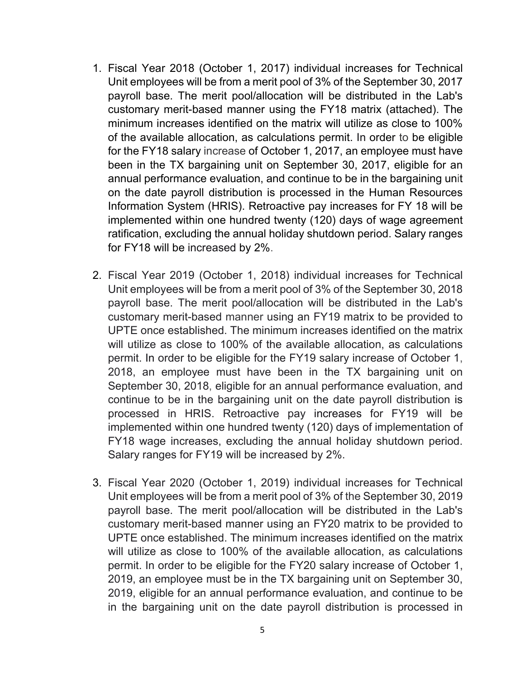- 1. Fiscal Year 2018 (October 1, 2017) individual increases for Technical Unit employees will be from a merit pool of 3% of the September 30, 2017 payroll base. The merit pool/allocation will be distributed in the Lab's customary merit-based manner using the FY18 matrix (attached). The minimum increases identified on the matrix will utilize as close to 100% of the available allocation, as calculations permit. In order to be eligible for the FY18 salary increase of October 1, 2017, an employee must have been in the TX bargaining unit on September 30, 2017, eligible for an annual performance evaluation, and continue to be in the bargaining unit on the date payroll distribution is processed in the Human Resources Information System (HRIS). Retroactive pay increases for FY 18 will be implemented within one hundred twenty (120) days of wage agreement ratification, excluding the annual holiday shutdown period. Salary ranges for FY18 will be increased by 2%.
- 2. Fiscal Year 2019 (October 1, 2018) individual increases for Technical Unit employees will be from a merit pool of 3% of the September 30, 2018 payroll base. The merit pool/allocation will be distributed in the Lab's customary merit-based manner using an FY19 matrix to be provided to UPTE once established. The minimum increases identified on the matrix will utilize as close to 100% of the available allocation, as calculations permit. In order to be eligible for the FY19 salary increase of October 1, 2018, an employee must have been in the TX bargaining unit on September 30, 2018, eligible for an annual performance evaluation, and continue to be in the bargaining unit on the date payroll distribution is processed in HRIS. Retroactive pay increases for FY19 will be implemented within one hundred twenty (120) days of implementation of FY18 wage increases, excluding the annual holiday shutdown period. Salary ranges for FY19 will be increased by 2%.
- 3. Fiscal Year 2020 (October 1, 2019) individual increases for Technical Unit employees will be from a merit pool of 3% of the September 30, 2019 payroll base. The merit pool/allocation will be distributed in the Lab's customary merit-based manner using an FY20 matrix to be provided to UPTE once established. The minimum increases identified on the matrix will utilize as close to 100% of the available allocation, as calculations permit. In order to be eligible for the FY20 salary increase of October 1, 2019, an employee must be in the TX bargaining unit on September 30, 2019, eligible for an annual performance evaluation, and continue to be in the bargaining unit on the date payroll distribution is processed in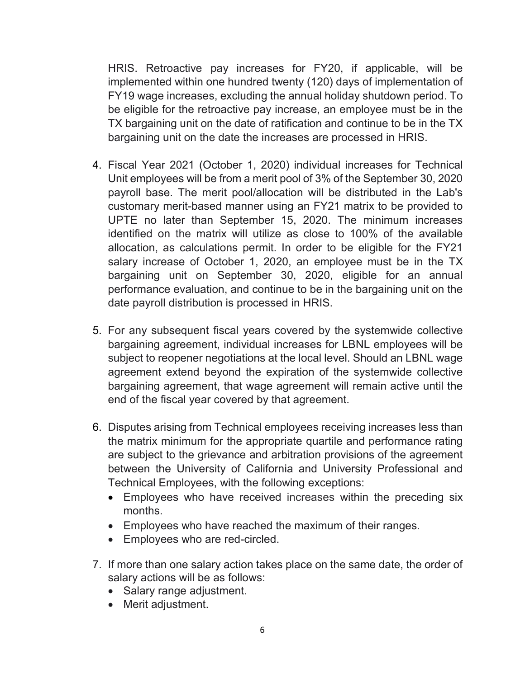HRIS. Retroactive pay increases for FY20, if applicable, will be implemented within one hundred twenty (120) days of implementation of FY19 wage increases, excluding the annual holiday shutdown period. To be eligible for the retroactive pay increase, an employee must be in the TX bargaining unit on the date of ratification and continue to be in the TX bargaining unit on the date the increases are processed in HRIS.

- 4. Fiscal Year 2021 (October 1, 2020) individual increases for Technical Unit employees will be from a merit pool of 3% of the September 30, 2020 payroll base. The merit pool/allocation will be distributed in the Lab's customary merit-based manner using an FY21 matrix to be provided to UPTE no later than September 15, 2020. The minimum increases identified on the matrix will utilize as close to 100% of the available allocation, as calculations permit. In order to be eligible for the FY21 salary increase of October 1, 2020, an employee must be in the TX bargaining unit on September 30, 2020, eligible for an annual performance evaluation, and continue to be in the bargaining unit on the date payroll distribution is processed in HRIS.
- 5. For any subsequent fiscal years covered by the systemwide collective bargaining agreement, individual increases for LBNL employees will be subject to reopener negotiations at the local level. Should an LBNL wage agreement extend beyond the expiration of the systemwide collective bargaining agreement, that wage agreement will remain active until the end of the fiscal year covered by that agreement.
- 6. Disputes arising from Technical employees receiving increases less than the matrix minimum for the appropriate quartile and performance rating are subject to the grievance and arbitration provisions of the agreement between the University of California and University Professional and Technical Employees, with the following exceptions:
	- Employees who have received increases within the preceding six months.
	- Employees who have reached the maximum of their ranges.
	- Employees who are red-circled.
- 7. If more than one salary action takes place on the same date, the order of salary actions will be as follows:
	- Salary range adjustment.
	- Merit adjustment.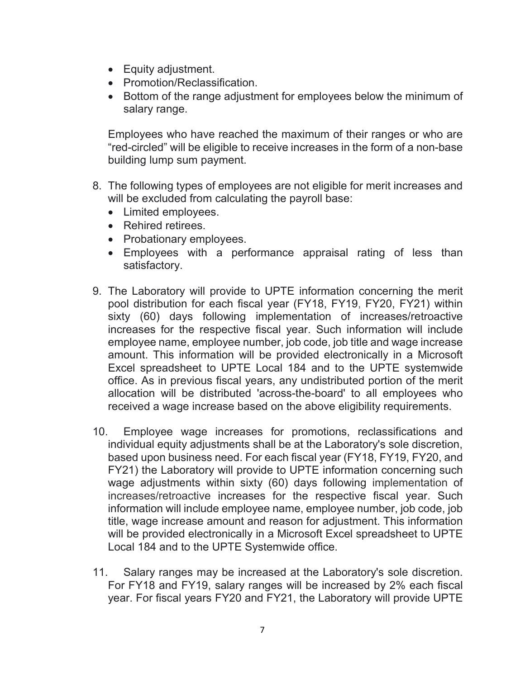- Equity adjustment.
- Promotion/Reclassification.
- Bottom of the range adjustment for employees below the minimum of salary range.

Employees who have reached the maximum of their ranges or who are "red-circled" will be eligible to receive increases in the form of a non-base building lump sum payment.

- 8. The following types of employees are not eligible for merit increases and will be excluded from calculating the payroll base:
	- Limited employees.
	- Rehired retirees.
	- Probationary employees.
	- Employees with a performance appraisal rating of less than satisfactory.
- 9. The Laboratory will provide to UPTE information concerning the merit pool distribution for each fiscal year (FY18, FY19, FY20, FY21) within sixty (60) days following implementation of increases/retroactive increases for the respective fiscal year. Such information will include employee name, employee number, job code, job title and wage increase amount. This information will be provided electronically in a Microsoft Excel spreadsheet to UPTE Local 184 and to the UPTE systemwide office. As in previous fiscal years, any undistributed portion of the merit allocation will be distributed 'across-the-board' to all employees who received a wage increase based on the above eligibility requirements.
- 10. Employee wage increases for promotions, reclassifications and individual equity adjustments shall be at the Laboratory's sole discretion, based upon business need. For each fiscal year (FY18, FY19, FY20, and FY21) the Laboratory will provide to UPTE information concerning such wage adjustments within sixty (60) days following implementation of increases/retroactive increases for the respective fiscal year. Such information will include employee name, employee number, job code, job title, wage increase amount and reason for adjustment. This information will be provided electronically in a Microsoft Excel spreadsheet to UPTE Local 184 and to the UPTE Systemwide office.
- 11. Salary ranges may be increased at the Laboratory's sole discretion. For FY18 and FY19, salary ranges will be increased by 2% each fiscal year. For fiscal years FY20 and FY21, the Laboratory will provide UPTE